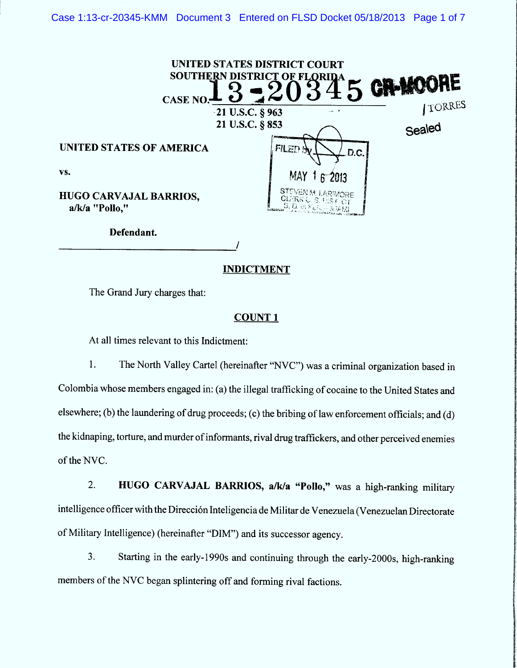| CASE NO.                                        | UNITED STATES DISTRICT COURT<br>SOUTHERN DISTRICT OF FLORIDA                                     | RE<br><b>GR-MOO!</b> |
|-------------------------------------------------|--------------------------------------------------------------------------------------------------|----------------------|
|                                                 | $-21$ U.S.C. § 963                                                                               | <b>ITORRES</b>       |
|                                                 | 21 U.S.C. § 853                                                                                  | Sealed               |
| <b>UNITED STATES OF AMERICA</b>                 | FILED SV<br>D.C.                                                                                 |                      |
| VS.                                             | MAY<br>$6 - 2013$                                                                                |                      |
| <b>HUGO CARVAJAL BARRIOS,</b><br>a/k/a "Pollo," | <b>STEVENM LARIMORE</b><br><b>CLERK L. S. LIST OT</b><br>$[$ S. D. of $F_{L}$ $\sim$ $N$ $M$ $M$ |                      |

Defendant.

### **INDICTMENT**

/

The Grand Jury charges that:

### COUNT I

At all times relevant to this Indictment:

1. The North Valley Cartel (hereinafter "NVC") was a criminal organization based in Colombia whose members engaged in: (a) the illegal trafficking of cocaine to the United States and elsewhere; (b) the laundering of drug proceeds; (c) the bribing of law enforcement officials; and (d) the kidnaping, torture, and murder of informants, rival drug traffickers, and other perceived enemies of the NVC.

2. HUGO CARVAJAL BARRIOS, a/k/a "Pollo," was a high-ranking military intelligence officer with the Dirección Inteligencia de Militar de Venezuela (Venezuelan Directorate of Military Intelligence) (hereinafter "DIM") and its successor agency.

Starting in the early-1990s and continuing through the ear1y-2000s, high-rnnking 3. members of the NVC began splintering off and forming rival factions.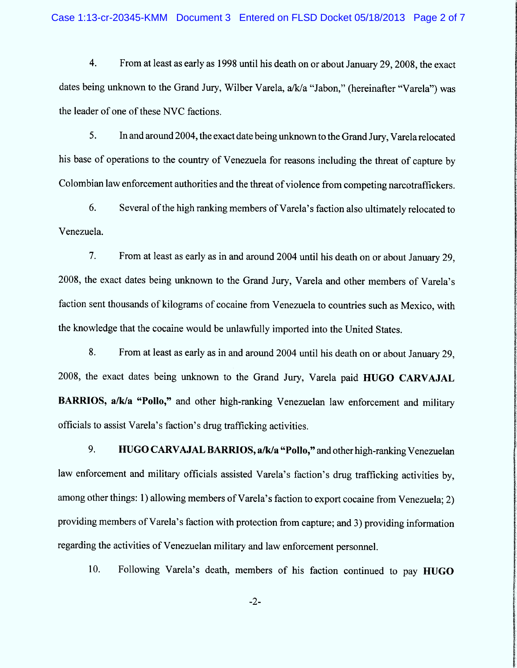4. From at least as early as 1998 until his death on or about January 29, 2008, the exact dates being unknown to the Grand Jury, Wilber Varela, a/k/a "Jabon," (hereinafter "Varela") was the leader of one of these NVC factions.

5. In and around 2004, the exact date being unknown to the Grand Jury, Varela relocated his base of operations to the country of Venezuela for reasons including the threat of capture by Colombian law enforcement authorities and the threat of violence from competing narcotraffickers.

6. Several of the high ranking members of Varela's faction also ultimately relocated to Venezuela.

From at least as early as in and around 2004 until his death on or about January 29, 7. 2008, the exact dates being unknown to the Grand Jury, Varela and other members of Varela's faction sent thousands of kilograms of cocaine from Venezuela to countries such as Mexico, with the knowledge that the cocaine would be unlawfully imported into the United States.

8. From at least as early as in and around 2004 until his death on or about January 29, 2008, the exact dates being unknown to the Grand Jury, Varela paid HUGO CARVAJAL BARRIOS, a/k/a "Pollo," and other high-ranking Venezuelan law enforcement and military officials to assist Varela's faction's drug trafficking activities.

HUGO CARVAJAL BARRIOS, a/k/a "Pollo," and other high-ranking Venezuelan 9. law enforcement and military officials assisted Varela's faction's drug trafficking activities by, among other things: 1) allowing members of Varela's faction to export cocaine from Venezuela; 2) providing members of Varela's faction with protedion from capture; and 3) providing information regarding the activities of Venezuelan military and law enforcement personnel.

10. Following Varela's death, members of his faction continued to pay HUGO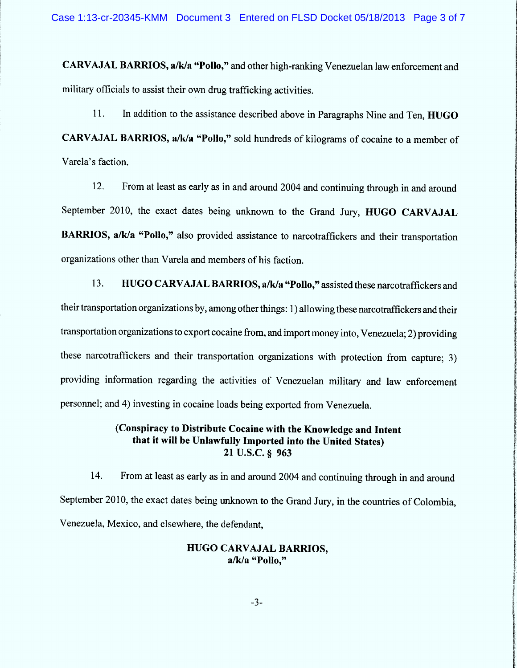CARVAJAL BARRIOS, a/k/a "Pollo," and other high-ranking Venezuelan law enforcement and military officials to assist their own drug trafficking activities.

11. In addition to the assistance described above in Paragraphs Nine and Ten, HUGO CARVAJAL BARRIOS, a/k/a "Pollo," sold hundreds of kilograms of cocaine to a member of Varela's faction.

12. From at least as early as in and around 2004 and continuing through in and around September 2010, the exact dates being unknown to the Grand Jury, HUGO CARVAJAL BARRIOS, a/k/a "Pollo," also provided assistance to narcotraffickers and their transportation organizations other than Varela and members of his faction.

13. HUGO CARVAJAL BARRIOS, a/k/a "Pollo," assisted these narcotraffickers and their transportation organizations by, among other things: 1) allowing these narcotraffickers and their transportation organizations to export cocaine from, and import money into, Venezuela; 2) providing these narcotraffickers and their transportation organizations with protection from capture; 3) providing information regarding the activities of Venezuelan military and law enforcement personnel; and 4) investing in cocaine loads being exported from Venezuela.

# (Conspiracy to Distribute Cocaine with the Knowledge and lntent that it will be Unlawfully Imported into the United States) 21 U.S.C. § 963

14. From at least as early as in and around 2004 and continuing through in and around September 2010, the exact dates being unknown to the Grand Jury, in the countries of Colombia, Venezuela, Mexico, and elsewhere, the defendant,

### HUGO CARVAJAL BARRIOS, a/k/a "Pollo,"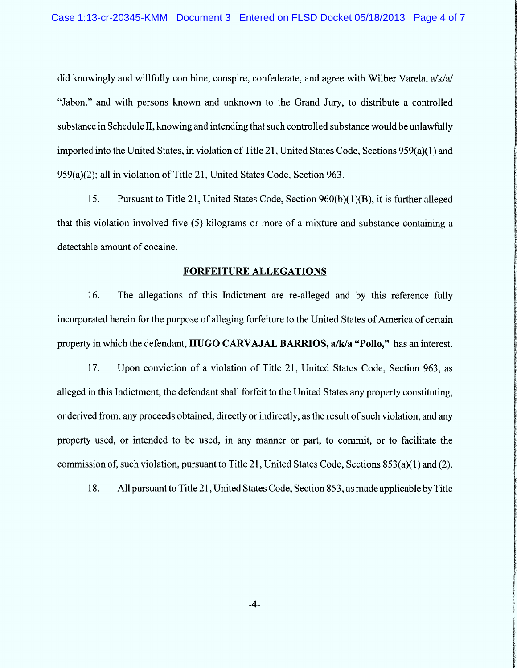did knowingly and willfully combine, conspire, confederate, and agree with Wilber Varela,  $a/k/a/$ ûtlabon,'' and with persons known and unknown to the Grand Jury, to distribute a controlled substance in Schedule II, knowing and intending that such controlled substance would be unlawfully imported into the United States, in violation of Title 21, United States Code, Sections 959(a)(1) and 959(a)(2); al1 in violation of Title 21, United States Code, Section 963.

15. Pursuant to Title 21, United States Code, Section 960(b)(1)(B), it is further alleged that this violation involved five (5) kilograms or more of a mixture and substance containing a detectable amount of cocaine.

## FORFEITURE ALLEGATIONS

16. The allegations of this Indictment are re-alleged and by this reference fully incorporated herein for the purpose of alleging forfeiture to the United States of America of certain property in which the defendant, HUGO CARVAJAL BARRIOS, a/k/a "Pollo," has an interest.

17. Upon conviction of a violation of Title 21, United States Code, Section 963, as alleged in this Indictment, the defendant shall forfeit to the United States any property constituting, or derived from, any proceeds obtained, directly or indirectly, as the result of such violation, and any property used, or intended to be used, in any manner or part, to commit, or to facilitate the commission of, such violation, pursuant to Title 21, United States Code, Sections 853(a)(1) and (2).

18. All pursuant to Title 21, United States Code, Section 853, as made applicable by Title